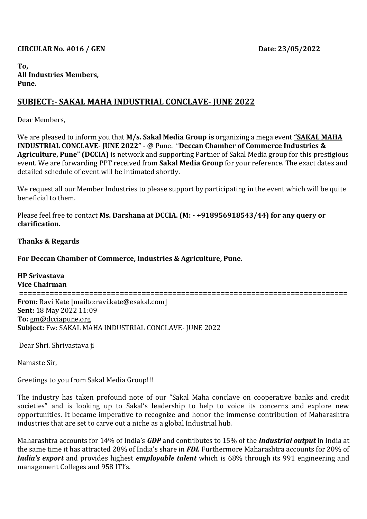#### **CIRCULAR No. #016 / GEN Date: 23/05/2022**

**To, All Industries Members, Pune.** 

# **SUBJECT:- SAKAL MAHA INDUSTRIAL CONCLAVE- JUNE 2022**

Dear Members,

We are pleased to inform you that **M/s. Sakal Media Group is** organizing a mega event **"SAKAL MAHA INDUSTRIAL CONCLAVE- JUNE 2022" -** @ Pune. "**Deccan Chamber of Commerce Industries & Agriculture, Pune" (DCCIA)** is network and supporting Partner of Sakal Media group for this prestigious event. We are forwarding PPT received from **Sakal Media Group** for your reference. The exact dates and detailed schedule of event will be intimated shortly.

We request all our Member Industries to please support by participating in the event which will be quite beneficial to them.

Please feel free to contact **Ms. Darshana at DCCIA. (M: - +918956918543/44) for any query or clarification.**

**Thanks & Regards**

### **For Deccan Chamber of Commerce, Industries & Agriculture, Pune.**

**HP Srivastava Vice Chairman =========================================================================== From:** Ravi Kate [\[mailto:ravi.kate@esakal.com\]](mailto:ravi.kate@esakal.com) **Sent:** 18 May 2022 11:09 **To:** [gm@dcciapune.org](mailto:gm@dcciapune.org) **Subject:** Fw: SAKAL MAHA INDUSTRIAL CONCLAVE- JUNE 2022

Dear Shri. Shrivastava ji

Namaste Sir,

Greetings to you from Sakal Media Group!!!

The industry has taken profound note of our "Sakal Maha conclave on cooperative banks and credit societies" and is looking up to Sakal's leadership to help to voice its concerns and explore new opportunities. It became imperative to recognize and honor the immense contribution of Maharashtra industries that are set to carve out a niche as a global Industrial hub.

Maharashtra accounts for 14% of India's *GDP* and contributes to 15% of the *Industrial output* in India at the same time it has attracted 28% of India's share in *FDI.* Furthermore Maharashtra accounts for 20% of *India's export* and provides highest *employable talent* which is 68% through its 991 engineering and management Colleges and 958 ITI's.